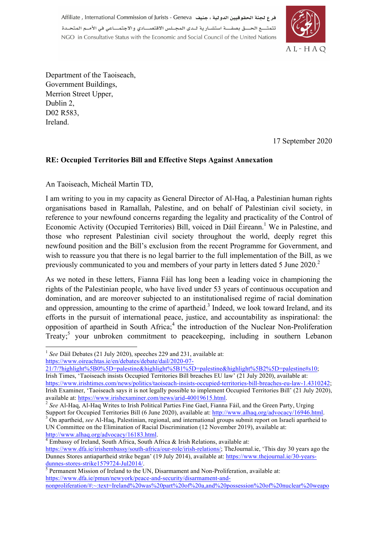هر ع لجنة الحقوقيين الدولية ، جنيف Affiliate , International Commission of Jurists - Geneva .<br>تتمتــــع الحــــق بصفــــة استشــار بـة لــدى المجــلس الاقتصــــادي و الاجتمــــاعي في الأمــم المتحــدة NGO in Consultative Status with the Economic and Social Council of the United Nations



Department of the Taoiseach, Government Buildings, Merrion Street Upper, Dublin 2, D02 R583, Ireland.

17 September 2020

## **RE: Occupied Territories Bill and Effective Steps Against Annexation**

An Taoiseach, Micheál Martin TD,

I am writing to you in my capacity as General Director of Al-Haq, a Palestinian human rights organisations based in Ramallah, Palestine, and on behalf of Palestinian civil society, in reference to your newfound concerns regarding the legality and practicality of the Control of Economic Activity (Occupied Territories) Bill, voiced in Dáil Éireann.<sup>1</sup> We in Palestine, and those who represent Palestinian civil society throughout the world, deeply regret this newfound position and the Bill's exclusion from the recent Programme for Government, and wish to reassure you that there is no legal barrier to the full implementation of the Bill, as we previously communicated to you and members of your party in letters dated 5 June 2020.<sup>2</sup>

As we noted in these letters, Fianna Fáil has long been a leading voice in championing the rights of the Palestinian people, who have lived under 53 years of continuous occupation and domination, and are moreover subjected to an institutionalised regime of racial domination and oppression, amounting to the crime of apartheid.<sup>3</sup> Indeed, we look toward Ireland, and its efforts in the pursuit of international peace, justice, and accountability as inspirational: the opposition of apartheid in South Africa; $<sup>4</sup>$  the introduction of the Nuclear Non-Proliferation</sup> Treaty;<sup>5</sup> your unbroken commitment to peacekeeping, including in southern Lebanon

https://www.oireachtas.ie/en/debates/debate/dail/2020-07-

http://www.alhaq.org/advocacy/16183.html.<br><sup>4</sup> Embassy of Ireland, South Africa, South Africa & Irish Relations, available at:

<sup>&</sup>lt;sup>1</sup> See Dáil Debates (21 July 2020), speeches 229 and 231, available at:

<sup>21/7/?</sup>highlight%5B0%5D=palestine&highlight%5B1%5D=palestine&highlight%5B2%5D=palestine#s10;

Irish Times, 'Taoiseach insists Occupied Territories Bill breaches EU law' (21 July 2020), available at: https://www.irishtimes.com/news/politics/taoiseach-insists-occupied-territories-bill-breaches-eu-law-1.4310242; Irish Examiner, 'Taoiseach says it is not legally possible to implement Occupied Territories Bill' (21 July 2020), available at: https://www.irishexaminer.com/news/arid-40019615.html.

<sup>&</sup>lt;sup>2</sup> See Al-Haq, Al-Haq Writes to Irish Political Parties Fine Gael, Fianna Fáil, and the Green Party, Urging

Support for Occupied Territories Bill (6 June 2020), available at: http://www.alhaq.org/advocacy/16946.html.<br><sup>3</sup> On apartheid, *see* Al-Haq, Palestinian, regional, and international groups submit report on Israeli aparthei UN Committee on the Elimination of Racial Discrimination (12 November 2019), available at:

https://www.dfa.ie/irishembassy/south-africa/our-role/irish-relations/; TheJournal.ie, 'This day 30 years ago the Dunnes Stores antiapartheid strike began' (19 July 2014), available at: https://www.thejournal.ie/30-yearsdunnes-stores-strike1579724-Jul2014/.<br><sup>5</sup> Permanent Mission of Ireland to the UN, Disarmament and Non-Proliferation, available at:

https://www.dfa.ie/pmun/newyork/peace-and-security/disarmament-and-

nonproliferation/#:~:text=Ireland%20was%20part%20of%20a,and%20possession%20of%20nuclear%20weapo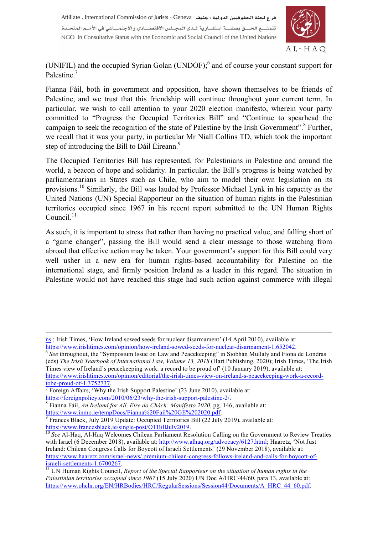

(UNIFIL) and the occupied Syrian Golan (UNDOF);6 and of course your constant support for Palestine<sup>7</sup>

Fianna Fáil, both in government and opposition, have shown themselves to be friends of Palestine, and we trust that this friendship will continue throughout your current term. In particular, we wish to call attention to your 2020 election manifesto, wherein your party committed to "Progress the Occupied Territories Bill" and "Continue to spearhead the campaign to seek the recognition of the state of Palestine by the Irish Government".<sup>8</sup> Further, we recall that it was your party, in particular Mr Niall Collins TD, which took the important step of introducing the Bill to Dáil Éireann.<sup>9</sup>

The Occupied Territories Bill has represented, for Palestinians in Palestine and around the world, a beacon of hope and solidarity. In particular, the Bill's progress is being watched by parliamentarians in States such as Chile, who aim to model their own legislation on its provisions.<sup>10</sup> Similarly, the Bill was lauded by Professor Michael Lynk in his capacity as the United Nations (UN) Special Rapporteur on the situation of human rights in the Palestinian territories occupied since 1967 in his recent report submitted to the UN Human Rights Council. $11$ 

As such, it is important to stress that rather than having no practical value, and falling short of a "game changer", passing the Bill would send a clear message to those watching from abroad that effective action may be taken. Your government's support for this Bill could very well usher in a new era for human rights-based accountability for Palestine on the international stage, and firmly position Ireland as a leader in this regard. The situation in Palestine would not have reached this stage had such action against commerce with illegal

1

ns.; Irish Times, 'How Ireland sowed seeds for nuclear disarmament' (14 April 2010), available at: https://www.irishtimes.com/opinion/how-ireland-sowed-seeds-for-nuclear-disarmament-1.652042.<br><sup>6</sup> See throughout, the "Symposium Issue on Law and Peacekeeping" in Siobhán Mullaly and Fiona de Londras

<sup>(</sup>eds) *The Irish Yearbook of International Law, Volume 13, 2018* (Hart Publishing, 2020); Irish Times, 'The Irish Times view of Ireland's peacekeeping work: a record to be proud of' (10 January 2019), available at: https://www.irishtimes.com/opinion/editorial/the-irish-times-view-on-ireland-s-peacekeeping-work-a-record-<br>tobe-proud-of-1.3752737.

<sup>&</sup>lt;sup>7</sup> Foreign Affairs, 'Why the Irish Support Palestine' (23 June 2010), available at:

https://foreignpolicy.com/2010/06/23/why-the-irish-support-palestine-2/.<br><sup>8</sup> Fianna Fáil, *An Ireland for All, Éire do Chách: Manifesto 2020*, pg. 146, available at:<br>https://www.inmo.ie/tempDocs/Fianna%20Fail%20GE%202020.p

<sup>&</sup>lt;sup>9</sup> Frances Black, July 2019 Update: Occupied Territories Bill (22 July 2019), available at: https://www.francesblack.ie/single-post/OTBillJuly 2019.

<sup>&</sup>lt;sup>10</sup> See Al-Haq, Al-Haq Welcomes Chilean Parliament Resolution Calling on the Government to Review Treaties with Israel (6 December 2018), available at: http://www.alhaq.org/advocacy/6127.html; Haaretz, 'Not Just Ireland: Chilean Congress Calls for Boycott of Israeli Settlements' (29 November 2018), available at: https://www.haaretz.com/israel-news/.premium-chilean-congress-follows-ireland-and-calls-for-boycott-ofisraeli-settlements-1.6700267. <sup>11</sup> UN Human Rights Council, *Report of the Special Rapporteur on the situation of human rights in the* 

*Palestinian territories occupied since 1967* (15 July 2020) UN Doc A/HRC/44/60, para 13, available at: https://www.ohchr.org/EN/HRBodies/HRC/RegularSessions/Session44/Documents/A\_HRC\_44\_60.pdf.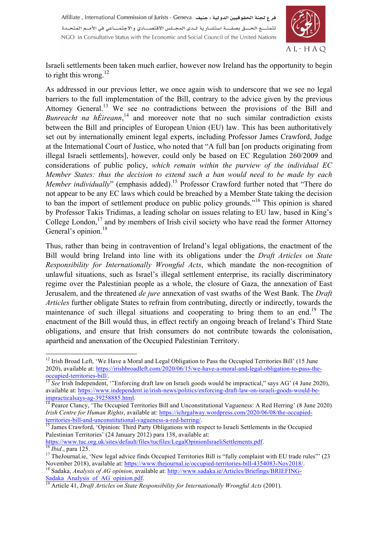

Israeli settlements been taken much earlier, however now Ireland has the opportunity to begin to right this wrong.<sup>12</sup>

As addressed in our previous letter, we once again wish to underscore that we see no legal barriers to the full implementation of the Bill, contrary to the advice given by the previous Attorney General.13 We see no contradictions between the provisions of the Bill and Bunreacht na hÉireann,<sup>14</sup> and moreover note that no such similar contradiction exists between the Bill and principles of European Union (EU) law. This has been authoritatively set out by internationally eminent legal experts, including Professor James Crawford, Judge at the International Court of Justice, who noted that "A full ban [on products originating from illegal Israeli settlements], however, could only be based on EC Regulation 260/2009 and considerations of public policy, *which remain within the purview of the individual EC Member States: thus the decision to extend such a ban would need to be made by each Member individually*" (emphasis added).<sup>15</sup> Professor Crawford further noted that "There do not appear to be any EC laws which could be breached by a Member State taking the decision to ban the import of settlement produce on public policy grounds."16 This opinion is shared by Professor Takis Tridimas, a leading scholar on issues relating to EU law, based in King's College London,<sup>17</sup> and by members of Irish civil society who have read the former Attorney General's opinion.<sup>18</sup>

Thus, rather than being in contravention of Ireland's legal obligations, the enactment of the Bill would bring Ireland into line with its obligations under the *Draft Articles on State Responsibility for Internationally Wrongful Acts*, which mandate the non-recognition of unlawful situations, such as Israel's illegal settlement enterprise, its racially discriminatory regime over the Palestinian people as a whole, the closure of Gaza, the annexation of East Jerusalem, and the threatened *de jure* annexation of vast swaths of the West Bank. The *Draft Articles* further obligate States to refrain from contributing, directly or indirectly, towards the maintenance of such illegal situations and cooperating to bring them to an end.<sup>19</sup> The enactment of the Bill would thus, in effect rectify an ongoing breach of Ireland's Third State obligations, and ensure that Irish consumers do not contribute towards the colonisation, apartheid and anenxation of the Occupied Palestinian Territory.

territories-bill-and-unconstitutional-vagueness-a-red-herring/.<br><sup>15</sup> James Crawford, 'Opinion: Third Party Obligations with respect to Israeli Settlements in the Occupied Palestinian Territories' (24 January 2012) para 138, available at:<br>https://www.tuc.org.uk/sites/default/files/tucfiles/LegalOpinionIsraeliSettlements.pdf.

<sup>&</sup>lt;sup>12</sup> Irish Broad Left, 'We Have a Moral and Legal Obligation to Pass the Occupied Territories Bill' (15 June 2020), available at: https://irishbroadleft.com/2020/06/15/we-have-a-moral-and-legal-obligation-to-pass-theoccupied-territories-bill/. <sup>13</sup> *See* Irish Independent, '"Enforcing draft law on Israeli goods would be impractical," says AG' (4 June 2020),

available at: https://www.independent.ie/irish-news/politics/enforcing-draft-law-on-israeli-goods-would-beimpracticalsays-ag-39258885.html. 14 Pearce Clancy, 'The Occupied Territories Bill and Unconstitutional Vagueness: A Red Herring' (8 June 2020)

*Irish Centre for Human Rights*, available at: https://ichrgalway.wordpress.com/2020/06/08/the-occupied-

<sup>&</sup>lt;sup>16</sup> *Ibid.*, para 125.<br><sup>17</sup> The Journal ie, 'New legal advice finds Occupied Territories Bill is "fully complaint with EU trade rules" (23 November 2018), available at: https://www.thejournal.ie/occupied-territories-bill <sup>18</sup> Sadaka, *Analysis of AG opinion*, available at: http://www.sadaka.ie/Articles/Briefings/BRIEFING-

Sadaka\_Analysis\_of\_AG\_opinion.pdf. <sup>19</sup> Article 41, *Draft Articles on State Responsibility for Internationally Wrongful Acts* (2001).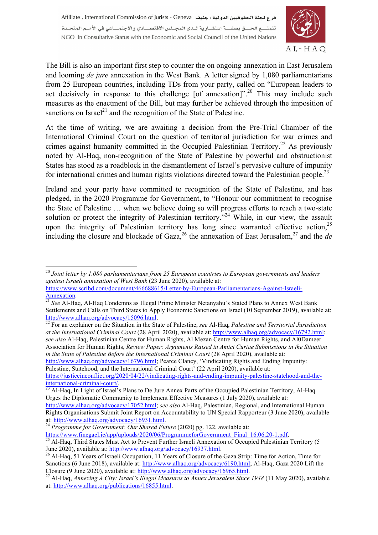

The Bill is also an important first step to counter the on ongoing annexation in East Jerusalem and looming *de jure* annexation in the West Bank. A letter signed by 1,080 parliamentarians from 25 European countries, including TDs from your party, called on "European leaders to act decisively in response to this challenge  $[of$  annexation]".<sup>20</sup> This may include such measures as the enactment of the Bill, but may further be achieved through the imposition of sanctions on Israel<sup>21</sup> and the recognition of the State of Palestine.

At the time of writing, we are awaiting a decision from the Pre-Trial Chamber of the International Criminal Court on the question of territorial jurisdiction for war crimes and crimes against humanity committed in the Occupied Palestinian Territory.<sup>22</sup> As previously noted by Al-Haq, non-recognition of the State of Palestine by powerful and obstructionist States has stood as a roadblock in the dismantlement of Israel's pervasive culture of impunity for international crimes and human rights violations directed toward the Palestinian people.<sup>23</sup>

Ireland and your party have committed to recognition of the State of Palestine, and has pledged, in the 2020 Programme for Government, to "Honour our commitment to recognise the State of Palestine … when we believe doing so will progress efforts to reach a two-state solution or protect the integrity of Palestinian territory."<sup>24</sup> While, in our view, the assault upon the integrity of Palestinian territory has long since warranted effective action,  $2<sup>5</sup>$ including the closure and blockade of Gaza,<sup>26</sup> the annexation of East Jerusalem,<sup>27</sup> and the *de* 

*at the International Criminal Court* (28 April 2020), available at: http://www.alhaq.org/advocacy/16792.html; *see also* Al-Haq, Palestinian Centre for Human Rights, Al Mezan Centre for Human Rights, and Al0Dameer Association for Human Rights, *Review Paper: Arguments Raised in Amici Curiae Submissions in the Situation in the State of Palestine Before the International Criminal Court (28 April 2020), available at:* 

http://www.alhaq.org/advocacy/16796.html; Pearce Clancy, 'Vindicating Rights and Ending Impunity: Palestine, Statehood, and the International Criminal Court' (22 April 2020), available at:

https://justiceinconflict.org/2020/04/22/vindicating-rights-and-ending-impunity-palestine-statehood-and-theinternational-criminal-court/.<br><sup>23</sup> Al-Haq, In Light of Israel's Plans to De Jure Annex Parts of the Occupied Palestinian Territory, Al-Haq

 <sup>20</sup> *Joint letter by 1.080 parliamentarians from 25 European countries to European governments and leaders against Israeli annexation of West Bank* (23 June 2020), available at:

https://www.scribd.com/document/466688615/Letter-by-European-Parliamentarians-Against-Israeli-

Annexation. <sup>21</sup> *See* Al-Haq, Al-Haq Condemns as Illegal Prime Minister Netanyahu's Stated Plans to Annex West Bank Settlements and Calls on Third States to Apply Economic Sanctions on Israel (10 September 2019), available at: http://www.alhaq.org/advocacy/15096.html. <sup>22</sup> For an explainer on the Situation in the State of Palestine, *see* Al-Haq, *Palestine and Territorial Jurisdiction* 

Urges the Diplomatic Community to Implement Effective Measures (1 July 2020), available at: http://www.alhaq.org/advocacy/17052.html; *see also* Al-Haq, Palestinian, Regional, and International Human

Rights Organisations Submit Joint Report on Accountability to UN Special Rapporteur (3 June 2020), available at: http://www.alhaq.org/advocacy/16931.html.

<sup>&</sup>lt;sup>24</sup> *Programme for Government: Our Shared Future* (2020) pg. 122, available at:<br>https://www.finegael.ie/app/uploads/2020/06/ProgrammeforGovernment Final 16.06.20-1.pdf.

<sup>&</sup>lt;sup>25</sup> Al-Haq, Third States Must Act to Prevent Further Israeli Annexation of Occupied Palestinian Territory (5 June 2020), available at: http://www.alhaq.org/advocacy/16937.html.

<sup>&</sup>lt;sup>26</sup> Al-Haq, 51 Years of Israeli Occupation, 11 Years of Closure of the Gaza Strip: Time for Action, Time for Sanctions (6 June 2018), available at: http://www.alhaq.org/advocacy/6190.html; Al-Haq, Gaza 2020 Lift the Closure (9 June 2020), available at: http://www.alhaq.org/advocacy/16965.html.

<sup>27</sup> Al-Haq, *Annexing A City: Israel's Illegal Measures to Annex Jerusalem Since 1948* (11 May 2020), available at: http://www.alhaq.org/publications/16855.html.